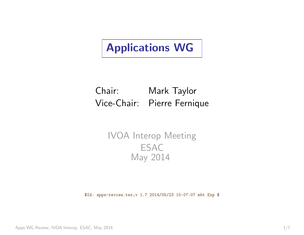# <span id="page-0-0"></span>Applications WG

# Chair: Mark Taylor Vice-Chair: Pierre Fernique

### IVOA Interop Meeting **ESAC** May 2014

\$Id: apps-review.tex,v 1.7 2014/05/23 10:07:07 mbt Exp \$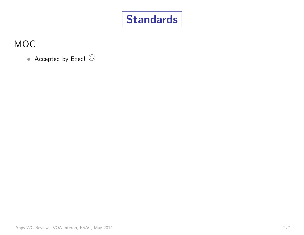

## MOC

• Accepted by Exec!  $\odot$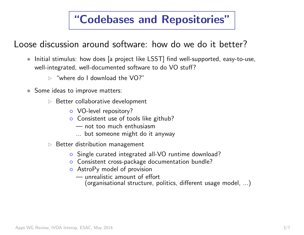# "Codebases and Repositories"

Loose discussion around software: how do we do it better?

- Initial stimulus: how does [a project like LSST] find well-supported, easy-to-use, well-integrated, well-documented software to do VO stuff?
	- $\triangleright$  "where do I download the VO?"
- Some ideas to improve matters:
	- $\triangleright$  Better collaborative development
		- VO-level repository?
		- Consistent use of tools like github?
			- not too much enthusiasm
			- ... but someone might do it anyway
	- $\triangleright$  Better distribution management
		- Single curated integrated all-VO runtime download?
		- Consistent cross-package documentation bundle?
		- AstroPy model of provision
			- unrealistic amount of effort
				- (organisational structure, politics, different usage model, ...)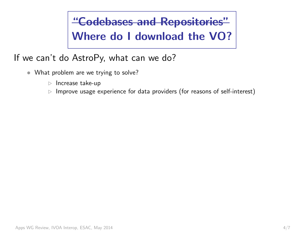"Codebases and Repositories" Where do I download the VO?

If we can't do AstroPy, what can we do?

- What problem are we trying to solve?
	- $\triangleright$  Increase take-up
	- $\triangleright$  Improve usage experience for data providers (for reasons of self-interest)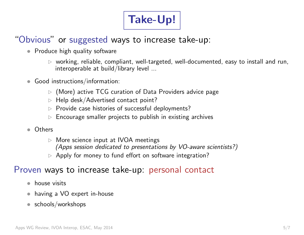# Take-Up!

# "Obvious" or suggested ways to increase take-up:

- Produce high quality software
	- $\triangleright$  working, reliable, compliant, well-targeted, well-documented, easy to install and run, interoperable at build/library level ...
- Good instructions/information:
	- $\triangleright$  (More) active TCG curation of Data Providers advice page
	- . Help desk/Advertised contact point?
	- . Provide case histories of successful deployments?
	- . Encourage smaller projects to publish in existing archives
- Others
	- $\triangleright$  More science input at IVOA meetings (Apps session dedicated to presentations by VO-aware scientists?)
	- $\triangleright$  Apply for money to fund effort on software integration?

#### Proven ways to increase take-up: personal contact

- house visits
- having a VO expert in-house
- schools/workshops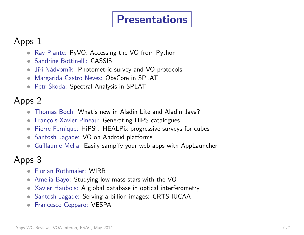# Presentations

### Apps 1

- Ray Plante: PyVO: Accessing the VO from Python
- Sandrine Bottinelli: CASSIS
- Jiří Nádvorník: Photometric survey and VO protocols
- Margarida Castro Neves: ObsCore in SPLAT
- Petr Škoda: Spectral Analysis in SPLAT

# Apps 2

- Thomas Boch: What's new in Aladin Lite and Aladin Java?
- François-Xavier Pineau: Generating HiPS catalogues
- $\bullet$  Pierre Fernique:  $\mathsf{HIPS}^3$ : HEALPix progressive surveys for cubes
- Santosh Jagade: VO on Android platforms
- Guillaume Mella: Easily sampify your web apps with AppLauncher

## Apps 3

- Florian Rothmaier: WIRR
- Amelia Bayo: Studying low-mass stars with the VO
- Xavier Haubois: A global database in optical interferometry
- Santosh Jagade: Serving a billion images: CRTS-IUCAA
- Francesco Cepparo: VESPA